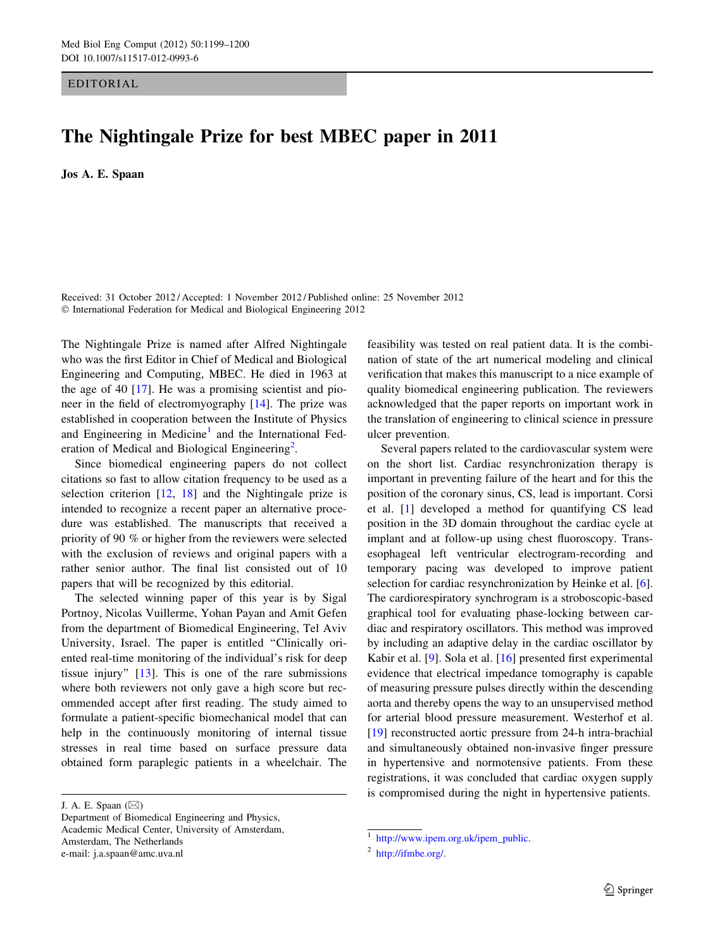EDITORIAL

## The Nightingale Prize for best MBEC paper in 2011

Jos A. E. Spaan

Received: 31 October 2012 / Accepted: 1 November 2012 / Published online: 25 November 2012 © International Federation for Medical and Biological Engineering 2012

The Nightingale Prize is named after Alfred Nightingale who was the first Editor in Chief of Medical and Biological Engineering and Computing, MBEC. He died in 1963 at the age of 40  $[17]$  $[17]$ . He was a promising scientist and pioneer in the field of electromyography [[14\]](#page-1-0). The prize was established in cooperation between the Institute of Physics and Engineering in Medicine<sup>1</sup> and the International Federation of Medical and Biological Engineering<sup>2</sup>.

Since biomedical engineering papers do not collect citations so fast to allow citation frequency to be used as a selection criterion  $[12, 18]$  $[12, 18]$  $[12, 18]$  $[12, 18]$  and the Nightingale prize is intended to recognize a recent paper an alternative procedure was established. The manuscripts that received a priority of 90 % or higher from the reviewers were selected with the exclusion of reviews and original papers with a rather senior author. The final list consisted out of 10 papers that will be recognized by this editorial.

The selected winning paper of this year is by Sigal Portnoy, Nicolas Vuillerme, Yohan Payan and Amit Gefen from the department of Biomedical Engineering, Tel Aviv University, Israel. The paper is entitled ''Clinically oriented real-time monitoring of the individual's risk for deep tissue injury'' [\[13](#page-1-0)]. This is one of the rare submissions where both reviewers not only gave a high score but recommended accept after first reading. The study aimed to formulate a patient-specific biomechanical model that can help in the continuously monitoring of internal tissue stresses in real time based on surface pressure data obtained form paraplegic patients in a wheelchair. The feasibility was tested on real patient data. It is the combination of state of the art numerical modeling and clinical verification that makes this manuscript to a nice example of quality biomedical engineering publication. The reviewers acknowledged that the paper reports on important work in the translation of engineering to clinical science in pressure ulcer prevention.

Several papers related to the cardiovascular system were on the short list. Cardiac resynchronization therapy is important in preventing failure of the heart and for this the position of the coronary sinus, CS, lead is important. Corsi et al. [[1\]](#page-1-0) developed a method for quantifying CS lead position in the 3D domain throughout the cardiac cycle at implant and at follow-up using chest fluoroscopy. Transesophageal left ventricular electrogram-recording and temporary pacing was developed to improve patient selection for cardiac resynchronization by Heinke et al. [\[6](#page-1-0)]. The cardiorespiratory synchrogram is a stroboscopic-based graphical tool for evaluating phase-locking between cardiac and respiratory oscillators. This method was improved by including an adaptive delay in the cardiac oscillator by Kabir et al. [\[9](#page-1-0)]. Sola et al. [[16\]](#page-1-0) presented first experimental evidence that electrical impedance tomography is capable of measuring pressure pulses directly within the descending aorta and thereby opens the way to an unsupervised method for arterial blood pressure measurement. Westerhof et al. [\[19](#page-1-0)] reconstructed aortic pressure from 24-h intra-brachial and simultaneously obtained non-invasive finger pressure in hypertensive and normotensive patients. From these registrations, it was concluded that cardiac oxygen supply is compromised during the night in hypertensive patients.

J. A. E. Spaan (⊠)

Department of Biomedical Engineering and Physics, Academic Medical Center, University of Amsterdam, Amsterdam, The Netherlands e-mail: j.a.spaan@amc.uva.nl

<sup>1</sup> [http://www.ipem.org.uk/ipem\\_public](http://www.ipem.org.uk/ipem_public).

<sup>2</sup> [http://ifmbe.org/.](http://ifmbe.org/)